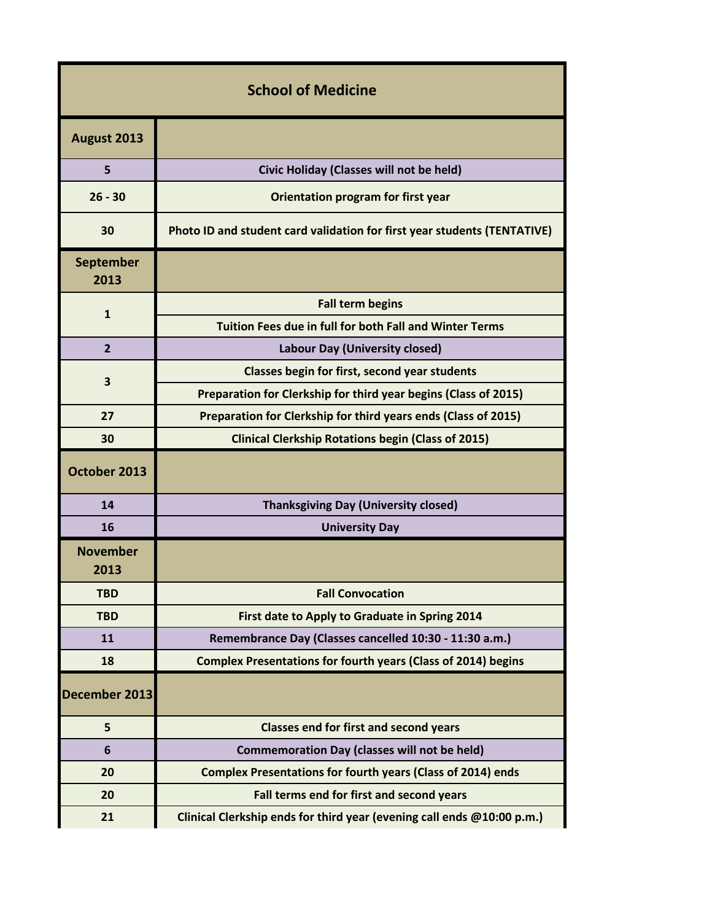| <b>School of Medicine</b> |                                                                          |  |
|---------------------------|--------------------------------------------------------------------------|--|
| August 2013               |                                                                          |  |
| 5                         | Civic Holiday (Classes will not be held)                                 |  |
| $26 - 30$                 | Orientation program for first year                                       |  |
| 30                        | Photo ID and student card validation for first year students (TENTATIVE) |  |
| <b>September</b><br>2013  |                                                                          |  |
| $\mathbf{1}$              | <b>Fall term begins</b>                                                  |  |
|                           | Tuition Fees due in full for both Fall and Winter Terms                  |  |
| $\overline{2}$            | Labour Day (University closed)                                           |  |
| 3                         | Classes begin for first, second year students                            |  |
|                           | Preparation for Clerkship for third year begins (Class of 2015)          |  |
| 27                        | Preparation for Clerkship for third years ends (Class of 2015)           |  |
| 30                        | <b>Clinical Clerkship Rotations begin (Class of 2015)</b>                |  |
| October 2013              |                                                                          |  |
| 14                        | <b>Thanksgiving Day (University closed)</b>                              |  |
| 16                        | <b>University Day</b>                                                    |  |
| <b>November</b><br>2013   |                                                                          |  |
| <b>TBD</b>                | <b>Fall Convocation</b>                                                  |  |
| <b>TBD</b>                | First date to Apply to Graduate in Spring 2014                           |  |
| 11                        | Remembrance Day (Classes cancelled 10:30 - 11:30 a.m.)                   |  |
| 18                        | <b>Complex Presentations for fourth years (Class of 2014) begins</b>     |  |
| December 2013             |                                                                          |  |
| 5                         | <b>Classes end for first and second years</b>                            |  |
| 6                         | <b>Commemoration Day (classes will not be held)</b>                      |  |
| 20                        | <b>Complex Presentations for fourth years (Class of 2014) ends</b>       |  |
| 20                        | Fall terms end for first and second years                                |  |
| 21                        | Clinical Clerkship ends for third year (evening call ends @10:00 p.m.)   |  |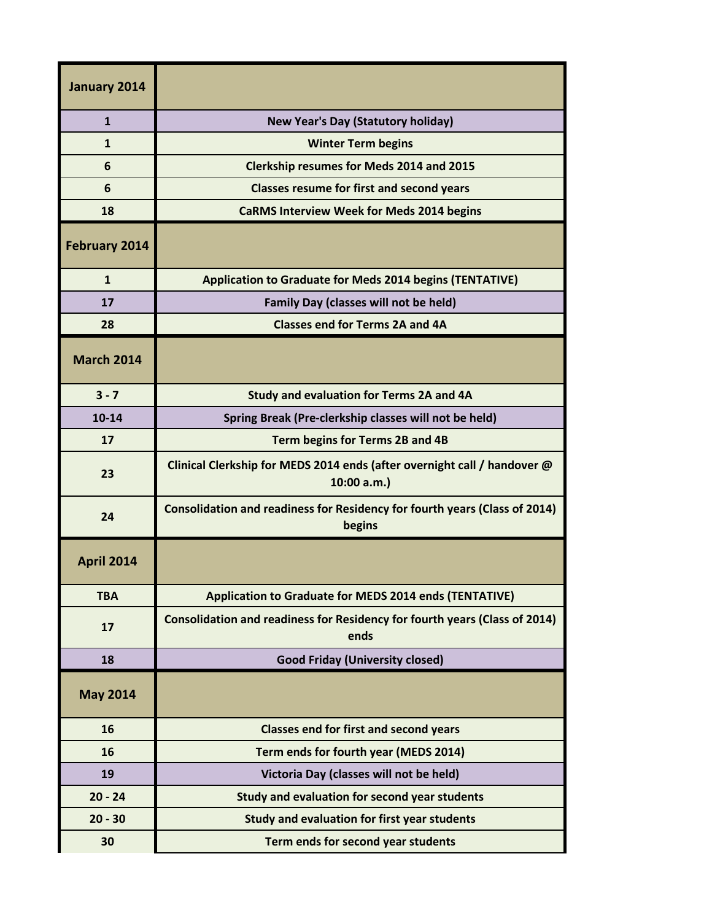| January 2014         |                                                                                        |
|----------------------|----------------------------------------------------------------------------------------|
| $\mathbf{1}$         | <b>New Year's Day (Statutory holiday)</b>                                              |
| $\mathbf{1}$         | <b>Winter Term begins</b>                                                              |
| 6                    | <b>Clerkship resumes for Meds 2014 and 2015</b>                                        |
| 6                    | <b>Classes resume for first and second years</b>                                       |
| 18                   | <b>CaRMS Interview Week for Meds 2014 begins</b>                                       |
| <b>February 2014</b> |                                                                                        |
| $\mathbf{1}$         | <b>Application to Graduate for Meds 2014 begins (TENTATIVE)</b>                        |
| 17                   | <b>Family Day (classes will not be held)</b>                                           |
| 28                   | <b>Classes end for Terms 2A and 4A</b>                                                 |
| <b>March 2014</b>    |                                                                                        |
| $3 - 7$              | Study and evaluation for Terms 2A and 4A                                               |
| $10 - 14$            | Spring Break (Pre-clerkship classes will not be held)                                  |
| 17                   | Term begins for Terms 2B and 4B                                                        |
| 23                   | Clinical Clerkship for MEDS 2014 ends (after overnight call / handover @<br>10:00 a.m. |
| 24                   | Consolidation and readiness for Residency for fourth years (Class of 2014)<br>begins   |
| <b>April 2014</b>    |                                                                                        |
| <b>TBA</b>           | <b>Application to Graduate for MEDS 2014 ends (TENTATIVE)</b>                          |
| 17                   | Consolidation and readiness for Residency for fourth years (Class of 2014)<br>ends     |
| 18                   | <b>Good Friday (University closed)</b>                                                 |
| <b>May 2014</b>      |                                                                                        |
| 16                   | <b>Classes end for first and second years</b>                                          |
| 16                   | Term ends for fourth year (MEDS 2014)                                                  |
| 19                   | Victoria Day (classes will not be held)                                                |
| $20 - 24$            | Study and evaluation for second year students                                          |
| $20 - 30$            | Study and evaluation for first year students                                           |
| 30                   | Term ends for second year students                                                     |